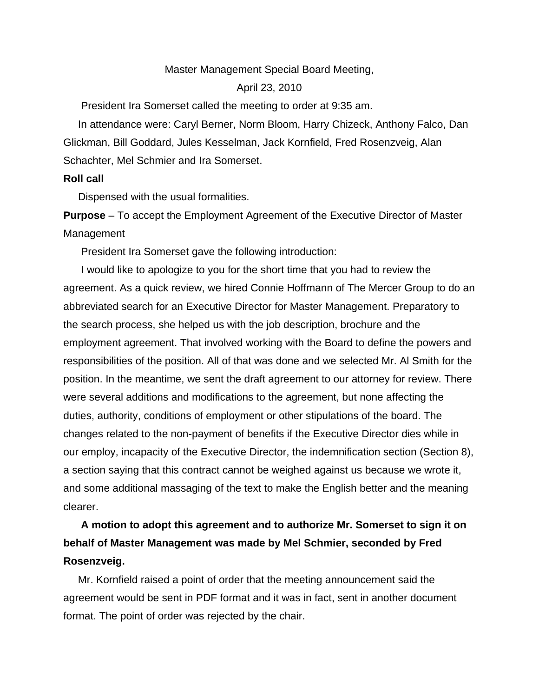## Master Management Special Board Meeting,

## April 23, 2010

President Ira Somerset called the meeting to order at 9:35 am.

 In attendance were: Caryl Berner, Norm Bloom, Harry Chizeck, Anthony Falco, Dan Glickman, Bill Goddard, Jules Kesselman, Jack Kornfield, Fred Rosenzveig, Alan Schachter, Mel Schmier and Ira Somerset.

## **Roll call**

Dispensed with the usual formalities.

**Purpose** – To accept the Employment Agreement of the Executive Director of Master Management

President Ira Somerset gave the following introduction:

 I would like to apologize to you for the short time that you had to review the agreement. As a quick review, we hired Connie Hoffmann of The Mercer Group to do an abbreviated search for an Executive Director for Master Management. Preparatory to the search process, she helped us with the job description, brochure and the employment agreement. That involved working with the Board to define the powers and responsibilities of the position. All of that was done and we selected Mr. Al Smith for the position. In the meantime, we sent the draft agreement to our attorney for review. There were several additions and modifications to the agreement, but none affecting the duties, authority, conditions of employment or other stipulations of the board. The changes related to the non-payment of benefits if the Executive Director dies while in our employ, incapacity of the Executive Director, the indemnification section (Section 8), a section saying that this contract cannot be weighed against us because we wrote it, and some additional massaging of the text to make the English better and the meaning clearer.

## **A motion to adopt this agreement and to authorize Mr. Somerset to sign it on behalf of Master Management was made by Mel Schmier, seconded by Fred Rosenzveig.**

 Mr. Kornfield raised a point of order that the meeting announcement said the agreement would be sent in PDF format and it was in fact, sent in another document format. The point of order was rejected by the chair.